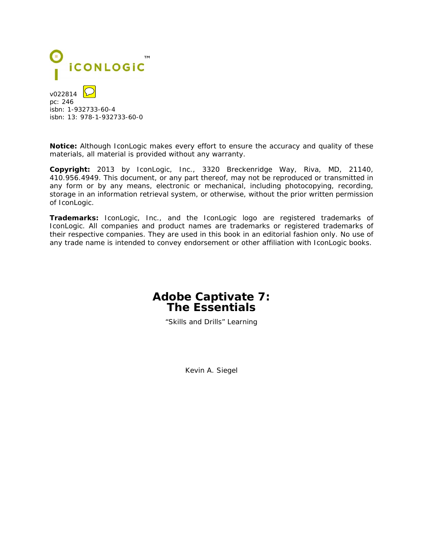

isbn: 1-932733-60-4 isbn: 13: 978-1-932733-60-0

**Notice:** Although IconLogic makes every effort to ensure the accuracy and quality of these materials, all material is provided without any warranty.

**Copyright:** 2013 by IconLogic, Inc., 3320 Breckenridge Way, Riva, MD, 21140, 410.956.4949. This document, or any part thereof, may not be reproduced or transmitted in any form or by any means, electronic or mechanical, including photocopying, recording, storage in an information retrieval system, or otherwise, without the prior written permission of IconLogic.

**Trademarks:** IconLogic, Inc., and the IconLogic logo are registered trademarks of IconLogic. All companies and product names are trademarks or registered trademarks of their respective companies. They are used in this book in an editorial fashion only. No use of any trade name is intended to convey endorsement or other affiliation with IconLogic books.

## **Adobe Captivate 7: The Essentials**

"Skills and Drills" Learning

Kevin A. Siegel